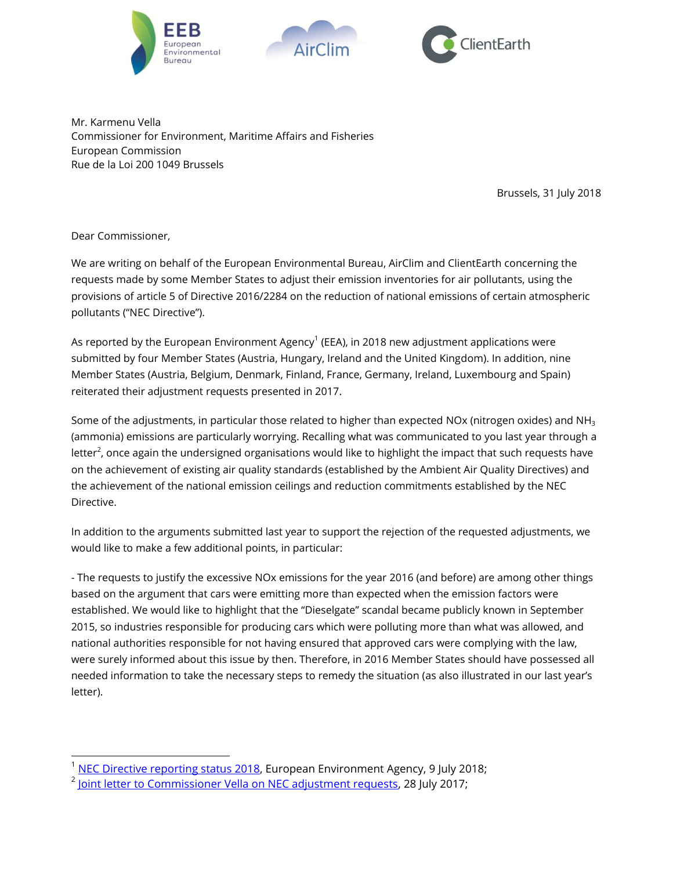





Mr. Karmenu Vella Commissioner for Environment, Maritime Affairs and Fisheries European Commission Rue de la Loi 200 1049 Brussels

Brussels, 31 July 2018

Dear Commissioner,

l

We are writing on behalf of the European Environmental Bureau, AirClim and ClientEarth concerning the requests made by some Member States to adjust their emission inventories for air pollutants, using the provisions of article 5 of Directive 2016/2284 on the reduction of national emissions of certain atmospheric pollutants ("NEC Directive").

As reported by the European Environment Agency $^1$  (EEA), in 2018 new adjustment applications were submitted by four Member States (Austria, Hungary, Ireland and the United Kingdom). In addition, nine Member States (Austria, Belgium, Denmark, Finland, France, Germany, Ireland, Luxembourg and Spain) reiterated their adjustment requests presented in 2017.

Some of the adjustments, in particular those related to higher than expected NOx (nitrogen oxides) and NH<sub>3</sub> (ammonia) emissions are particularly worrying. Recalling what was communicated to you last year through a letter $^2$ , once again the undersigned organisations would like to highlight the impact that such requests have on the achievement of existing air quality standards (established by the Ambient Air Quality Directives) and the achievement of the national emission ceilings and reduction commitments established by the NEC Directive.

In addition to the arguments submitted last year to support the rejection of the requested adjustments, we would like to make a few additional points, in particular:

- The requests to justify the excessive NOx emissions for the year 2016 (and before) are among other things based on the argument that cars were emitting more than expected when the emission factors were established. We would like to highlight that the "Dieselgate" scandal became publicly known in September 2015, so industries responsible for producing cars which were polluting more than what was allowed, and national authorities responsible for not having ensured that approved cars were complying with the law, were surely informed about this issue by then. Therefore, in 2016 Member States should have possessed all needed information to take the necessary steps to remedy the situation (as also illustrated in our last year's letter).

[NEC Directive reporting status 2018,](https://www.eea.europa.eu/themes/air/national-emission-ceilings/nec-directive-reporting-status-2018) European Environment Agency, 9 July 2018;

<sup>&</sup>lt;sup>2</sup> <u>Joint letter to Commissioner Vella on NEC adjustment requests</u>, 28 July 2017;